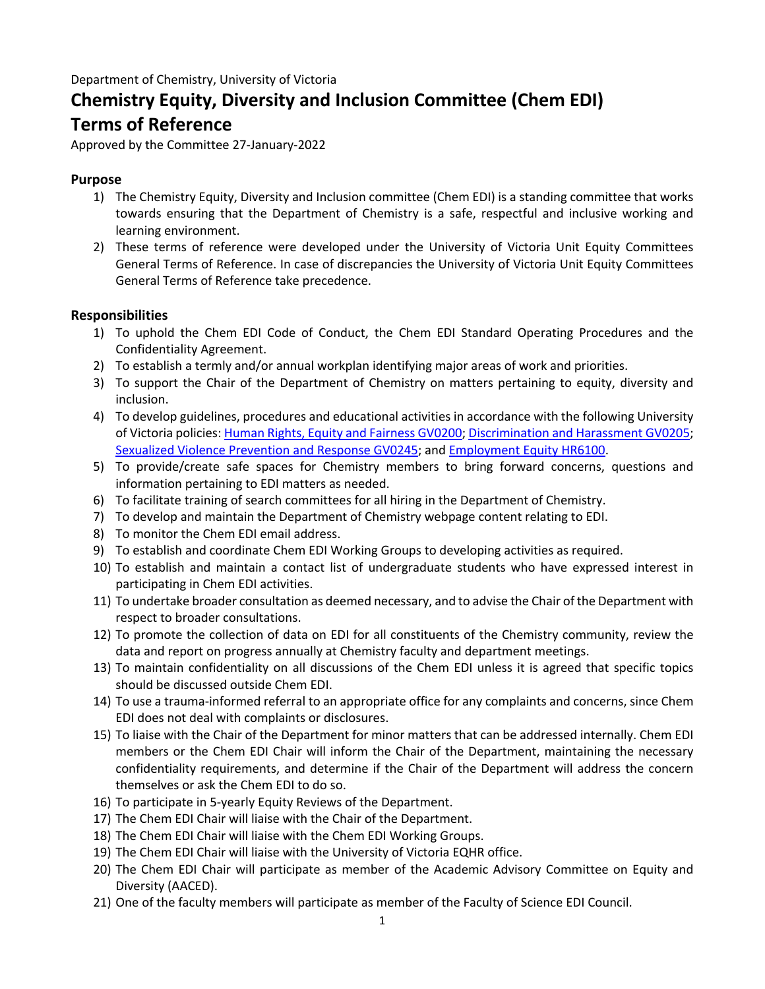# **Chemistry Equity, Diversity and Inclusion Committee (Chem EDI) Terms of Reference**

Approved by the Committee 27-January-2022

# **Purpose**

- 1) The Chemistry Equity, Diversity and Inclusion committee (Chem EDI) is a standing committee that works towards ensuring that the Department of Chemistry is a safe, respectful and inclusive working and learning environment.
- 2) These terms of reference were developed under the University of Victoria Unit Equity Committees General Terms of Reference. In case of discrepancies the University of Victoria Unit Equity Committees General Terms of Reference take precedence.

# **Responsibilities**

- 1) To uphold the Chem EDI Code of Conduct, the Chem EDI Standard Operating Procedures and the Confidentiality Agreement.
- 2) To establish a termly and/or annual workplan identifying major areas of work and priorities.
- 3) To support the Chair of the Department of Chemistry on matters pertaining to equity, diversity and inclusion.
- 4) To develop guidelines, procedures and educational activities in accordance with the following University of Victoria policies: [Human Rights, Equity and Fairness GV0200;](https://www.uvic.ca/universitysecretary/assets/docs/policies/GV0200_1105_.pdf) [Discrimination and Harassment GV0205](https://www.uvic.ca/universitysecretary/assets/docs/policies/GV0205_1150_.pdf); [Sexualized Violence Prevention and Response GV0245;](https://www.uvic.ca/universitysecretary/assets/docs/policies/GV0245.pdf) and [Employment Equity HR6100](https://www.uvic.ca/universitysecretary/assets/docs/policies/HR6100_1100_.pdf).
- 5) To provide/create safe spaces for Chemistry members to bring forward concerns, questions and information pertaining to EDI matters as needed.
- 6) To facilitate training of search committees for all hiring in the Department of Chemistry.
- 7) To develop and maintain the Department of Chemistry webpage content relating to EDI.
- 8) To monitor the Chem EDI email address.
- 9) To establish and coordinate Chem EDI Working Groups to developing activities as required.
- 10) To establish and maintain a contact list of undergraduate students who have expressed interest in participating in Chem EDI activities.
- 11) To undertake broader consultation as deemed necessary, and to advise the Chair of the Department with respect to broader consultations.
- 12) To promote the collection of data on EDI for all constituents of the Chemistry community, review the data and report on progress annually at Chemistry faculty and department meetings.
- 13) To maintain confidentiality on all discussions of the Chem EDI unless it is agreed that specific topics should be discussed outside Chem EDI.
- 14) To use a trauma-informed referral to an appropriate office for any complaints and concerns, since Chem EDI does not deal with complaints or disclosures.
- 15) To liaise with the Chair of the Department for minor matters that can be addressed internally. Chem EDI members or the Chem EDI Chair will inform the Chair of the Department, maintaining the necessary confidentiality requirements, and determine if the Chair of the Department will address the concern themselves or ask the Chem EDI to do so.
- 16) To participate in 5-yearly Equity Reviews of the Department.
- 17) The Chem EDI Chair will liaise with the Chair of the Department.
- 18) The Chem EDI Chair will liaise with the Chem EDI Working Groups.
- 19) The Chem EDI Chair will liaise with the University of Victoria EQHR office.
- 20) The Chem EDI Chair will participate as member of the Academic Advisory Committee on Equity and Diversity (AACED).
- 21) One of the faculty members will participate as member of the Faculty of Science EDI Council.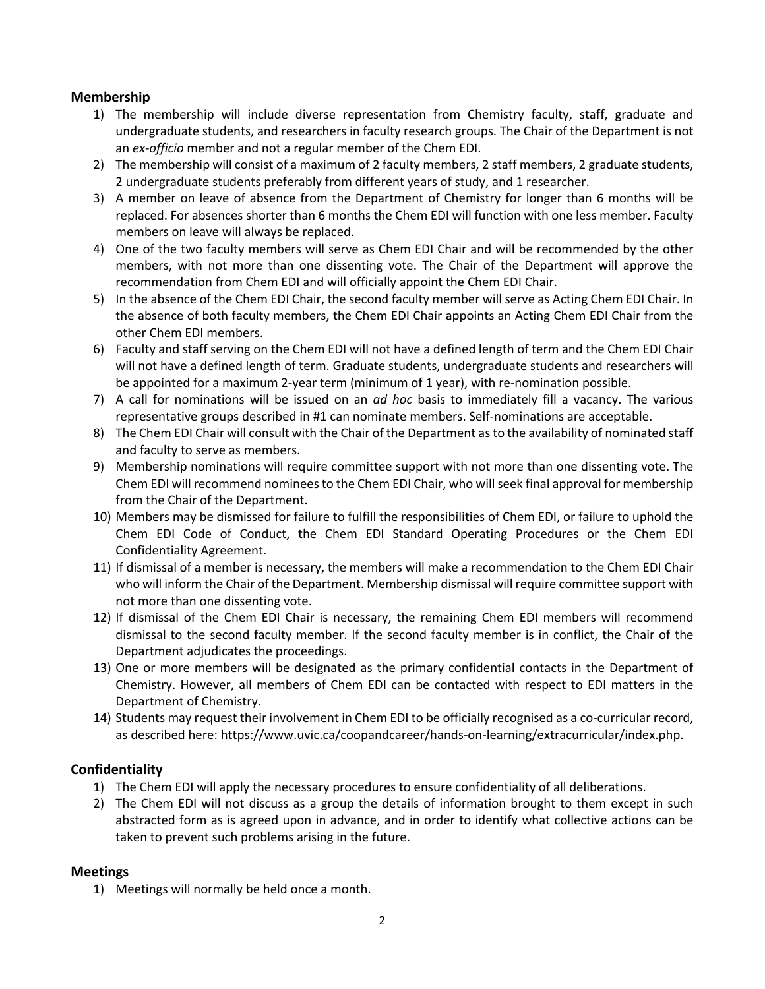### **Membership**

- 1) The membership will include diverse representation from Chemistry faculty, staff, graduate and undergraduate students, and researchers in faculty research groups. The Chair of the Department is not an *ex-officio* member and not a regular member of the Chem EDI.
- 2) The membership will consist of a maximum of 2 faculty members, 2 staff members, 2 graduate students, 2 undergraduate students preferably from different years of study, and 1 researcher.
- 3) A member on leave of absence from the Department of Chemistry for longer than 6 months will be replaced. For absences shorter than 6 months the Chem EDI will function with one less member. Faculty members on leave will always be replaced.
- 4) One of the two faculty members will serve as Chem EDI Chair and will be recommended by the other members, with not more than one dissenting vote. The Chair of the Department will approve the recommendation from Chem EDI and will officially appoint the Chem EDI Chair.
- 5) In the absence of the Chem EDI Chair, the second faculty member will serve as Acting Chem EDI Chair. In the absence of both faculty members, the Chem EDI Chair appoints an Acting Chem EDI Chair from the other Chem EDI members.
- 6) Faculty and staff serving on the Chem EDI will not have a defined length of term and the Chem EDI Chair will not have a defined length of term. Graduate students, undergraduate students and researchers will be appointed for a maximum 2-year term (minimum of 1 year), with re-nomination possible.
- 7) A call for nominations will be issued on an *ad hoc* basis to immediately fill a vacancy. The various representative groups described in #1 can nominate members. Self-nominations are acceptable.
- 8) The Chem EDI Chair will consult with the Chair of the Department as to the availability of nominated staff and faculty to serve as members.
- 9) Membership nominations will require committee support with not more than one dissenting vote. The Chem EDI will recommend nomineesto the Chem EDI Chair, who will seek final approval for membership from the Chair of the Department.
- 10) Members may be dismissed for failure to fulfill the responsibilities of Chem EDI, or failure to uphold the Chem EDI Code of Conduct, the Chem EDI Standard Operating Procedures or the Chem EDI Confidentiality Agreement.
- 11) If dismissal of a member is necessary, the members will make a recommendation to the Chem EDI Chair who will inform the Chair of the Department. Membership dismissal will require committee support with not more than one dissenting vote.
- 12) If dismissal of the Chem EDI Chair is necessary, the remaining Chem EDI members will recommend dismissal to the second faculty member. If the second faculty member is in conflict, the Chair of the Department adjudicates the proceedings.
- 13) One or more members will be designated as the primary confidential contacts in the Department of Chemistry. However, all members of Chem EDI can be contacted with respect to EDI matters in the Department of Chemistry.
- 14) Students may request their involvement in Chem EDI to be officially recognised as a co-curricular record, as described here: https://www.uvic.ca/coopandcareer/hands-on-learning/extracurricular/index.php.

## **Confidentiality**

- 1) The Chem EDI will apply the necessary procedures to ensure confidentiality of all deliberations.
- 2) The Chem EDI will not discuss as a group the details of information brought to them except in such abstracted form as is agreed upon in advance, and in order to identify what collective actions can be taken to prevent such problems arising in the future.

## **Meetings**

1) Meetings will normally be held once a month.